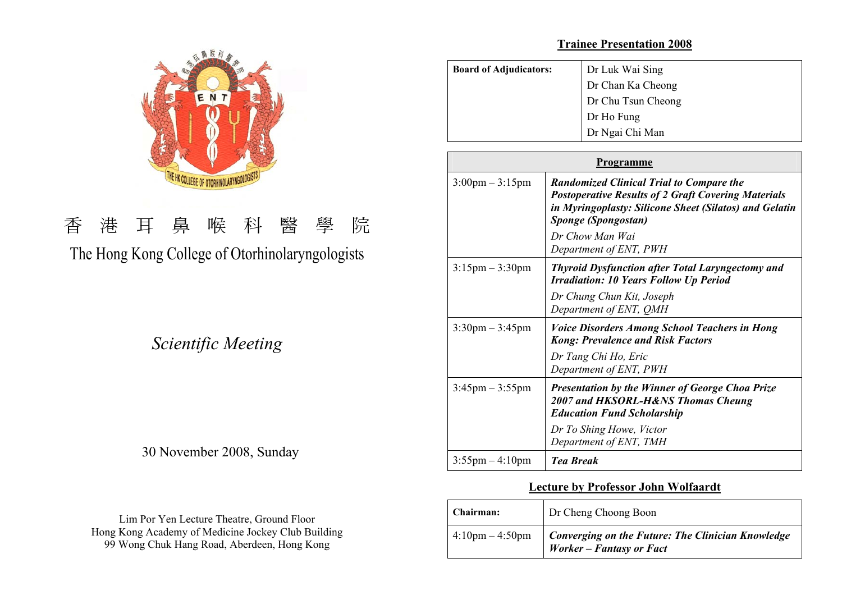

# 香 港 耳 鼻 喉 科 醫 學 院 The Hong Kong College of Otorhinolaryngologists

*Scientific Meeting* 

# 30 November 2008, Sunday

Lim Por Yen Lecture Theatre, Ground Floor Hong Kong Academy of Medicine Jockey Club Building 99 Wong Chuk Hang Road, Aberdeen, Hong Kong

## **Trainee Presentation 2008**

| <b>Board of Adjudicators:</b>     | Dr Luk Wai Sing                                                                                                                                                                                |  |
|-----------------------------------|------------------------------------------------------------------------------------------------------------------------------------------------------------------------------------------------|--|
|                                   | Dr Chan Ka Cheong                                                                                                                                                                              |  |
|                                   | Dr Chu Tsun Cheong                                                                                                                                                                             |  |
|                                   | Dr Ho Fung                                                                                                                                                                                     |  |
|                                   | Dr Ngai Chi Man                                                                                                                                                                                |  |
| <b>Programme</b>                  |                                                                                                                                                                                                |  |
|                                   |                                                                                                                                                                                                |  |
| $3:00 \text{pm} - 3:15 \text{pm}$ | <b>Randomized Clinical Trial to Compare the</b><br><b>Postoperative Results of 2 Graft Covering Materials</b><br>in Myringoplasty: Silicone Sheet (Silatos) and Gelatin<br>Sponge (Spongostan) |  |
|                                   | Dr Chow Man Wai<br>Department of ENT, PWH                                                                                                                                                      |  |
| $3:15 \text{pm} - 3:30 \text{pm}$ | <b>Thyroid Dysfunction after Total Laryngectomy and</b><br><b>Irradiation: 10 Years Follow Up Period</b>                                                                                       |  |
|                                   | Dr Chung Chun Kit, Joseph<br>Department of ENT, QMH                                                                                                                                            |  |
| $3:30 \text{pm} - 3:45 \text{pm}$ | <b>Voice Disorders Among School Teachers in Hong</b><br><b>Kong: Prevalence and Risk Factors</b>                                                                                               |  |
|                                   | Dr Tang Chi Ho, Eric<br>Department of ENT, PWH                                                                                                                                                 |  |
| $3:45 \text{pm} - 3:55 \text{pm}$ | Presentation by the Winner of George Choa Prize<br>2007 and HKSORL-H&NS Thomas Cheung<br><b>Education Fund Scholarship</b>                                                                     |  |
|                                   | Dr To Shing Howe, Victor<br>Department of ENT, TMH                                                                                                                                             |  |

# **Lecture by Professor John Wolfaardt**

3:55pm – 4:10pm *Tea Break* 

| <b>Chairman:</b>                  | Dr Cheng Choong Boon                                                                 |
|-----------------------------------|--------------------------------------------------------------------------------------|
| $4:10 \text{pm} - 4:50 \text{pm}$ | <b>Converging on the Future: The Clinician Knowledge</b><br>Worker - Fantasy or Fact |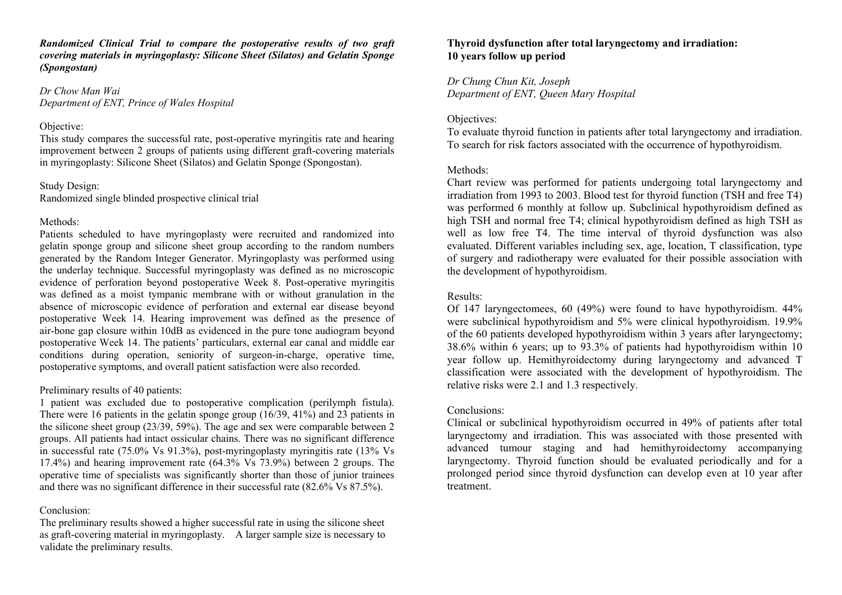*Randomized Clinical Trial to compare the postoperative results of two graft covering materials in myringoplasty: Silicone Sheet (Silatos) and Gelatin Sponge (Spongostan)* 

*Dr Chow Man Wai Department of ENT, Prince of Wales Hospital* 

#### Objective:

This study compares the successful rate, post-operative myringitis rate and hearing improvement between 2 groups of patients using different graft-covering materials in myringoplasty: Silicone Sheet (Silatos) and Gelatin Sponge (Spongostan).

# Study Design:

Randomized single blinded prospective clinical trial

#### Methods:

Patients scheduled to have myringoplasty were recruited and randomized into gelatin sponge group and silicone sheet group according to the random numbers generated by the Random Integer Generator. Myringoplasty was performed using the underlay technique. Successful myringoplasty was defined as no microscopic evidence of perforation beyond postoperative Week 8. Post-operative myringitis was defined as a moist tympanic membrane with or without granulation in the absence of microscopic evidence of perforation and external ear disease beyond postoperative Week 14. Hearing improvement was defined as the presence of air-bone gap closure within 10dB as evidenced in the pure tone audiogram beyond postoperative Week 14. The patients' particulars, external ear canal and middle ear conditions during operation, seniority of surgeon-in-charge, operative time, postoperative symptoms, and overall patient satisfaction were also recorded.

# Preliminary results of 40 patients:

1 patient was excluded due to postoperative complication (perilymph fistula). There were 16 patients in the gelatin sponge group (16/39, 41%) and 23 patients in the silicone sheet group (23/39, 59%). The age and sex were comparable between 2 groups. All patients had intact ossicular chains. There was no significant difference in successful rate (75.0% Vs 91.3%), post-myringoplasty myringitis rate (13% Vs 17.4%) and hearing improvement rate (64.3% Vs 73.9%) between 2 groups. The operative time of specialists was significantly shorter than those of junior trainees and there was no significant difference in their successful rate (82.6% Vs 87.5%).

#### Conclusion:

The preliminary results showed a higher successful rate in using the silicone sheet as graft-covering material in myringoplasty. A larger sample size is necessary to validate the preliminary results.

# **Thyroid dysfunction after total laryngectomy and irradiation: 10 years follow up period**

*Dr Chung Chun Kit, Joseph Department of ENT, Queen Mary Hospital* 

# Objectives:

To evaluate thyroid function in patients after total laryngectomy and irradiation. To search for risk factors associated with the occurrence of hypothyroidism.

#### Methods<sup>-</sup>

Chart review was performed for patients undergoing total laryngectomy and irradiation from 1993 to 2003. Blood test for thyroid function (TSH and free T4) was performed 6 monthly at follow up. Subclinical hypothyroidism defined as high TSH and normal free T4; clinical hypothyroidism defined as high TSH as well as low free T4. The time interval of thyroid dysfunction was also evaluated. Different variables including sex, age, location, T classification, type of surgery and radiotherapy were evaluated for their possible association with the development of hypothyroidism.

## Results:

Of 147 laryngectomees, 60 (49%) were found to have hypothyroidism. 44% were subclinical hypothyroidism and 5% were clinical hypothyroidism. 19.9% of the 60 patients developed hypothyroidism within 3 years after laryngectomy; 38.6% within 6 years; up to 93.3% of patients had hypothyroidism within 10 year follow up. Hemithyroidectomy during laryngectomy and advanced T classification were associated with the development of hypothyroidism. The relative risks were 2.1 and 1.3 respectively.

#### Conclusions:

Clinical or subclinical hypothyroidism occurred in 49% of patients after total laryngectomy and irradiation. This was associated with those presented with advanced tumour staging and had hemithyroidectomy accompanying laryngectomy. Thyroid function should be evaluated periodically and for a prolonged period since thyroid dysfunction can develop even at 10 year after treatment.